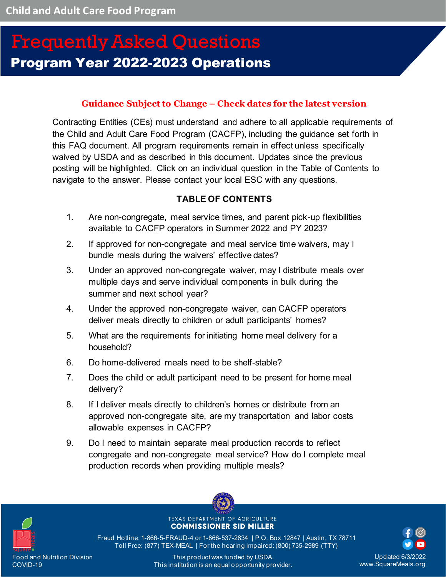# Program Year 2022-2023 Operations Frequently Asked Questions

### **Guidance Subject to Change – Check dates for the latest version**

Contracting Entities (CEs) must understand and adhere to all applicable requirements of the Child and Adult Care Food Program (CACFP), including the guidance set forth in this FAQ document. All program requirements remain in effect unless specifically waived by USDA and as described in this document. Updates since the previous posting will be highlighted. Click on an individual question in the Table of Contents to navigate to the answer. Please contact your local ESC with any questions.

### **TABLE OF CONTENTS**

- 1. [Are non-congregate, meal service times, and parent pick-up flexibilities](#page-2-0)  [available to CACFP operators in Summer 2022 and PY 2023?](#page-2-0)
- 2. [If approved for non-congregate and meal service time waivers, may I](#page-3-0)  [bundle meals during the waivers' effective dates?](#page-3-0)
- 3. [Under an approved non-congregate waiver, may I distribute meals over](#page-4-0)  [multiple days and serve individual components in bulk during the](#page-4-0)  [summer and next school year?](#page-4-0)
- 4. [Under the approved non-congregate waiver, can CACFP operators](#page-4-1)  [deliver meals directly to children or adult participants' homes?](#page-4-1)
- 5. [What are the requirements for initiating home meal delivery for a](#page-5-0)  [household?](#page-5-0)
- 6. [Do home-delivered meals need to be shelf-stable?](#page-5-1)
- 7. [Does the child or adult participant need to be present for home meal](#page-6-0)  [delivery?](#page-6-0)
- 8. [If I deliver meals directly to children's homes or distribute from an](#page-6-1)  [approved non-congregate site, are my transportation and labor costs](#page-6-1)  [allowable expenses in CACFP?](#page-6-1)
- 9. [Do I need to maintain separate meal production records to reflect](#page-6-2)  [congregate and non-congregate meal service? How do I complete meal](#page-6-2)  [production records when providing multiple meals?](#page-6-2)



TEXAS DEPARTMENT OF AGRICULTURE **COMMISSIONER SID MILLER** 

Fraud Hotline: 1-866-5-FRAUD-4 or 1-866-537-2834 | P.O. Box 12847 | Austin, TX 78711 Toll Free: (877) TEX-MEAL | For the hearing impaired: (800) 735-2989 (TTY)

Updated 6/3/2022 www.SquareMeals.org

This product was funded by USDA. This institution is an equal opportunity provider.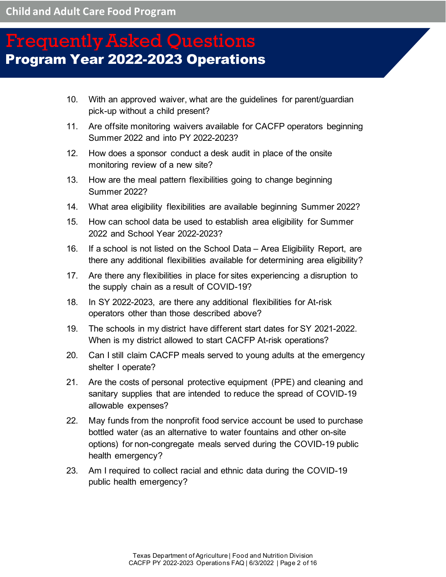- 10. [With an approved waiver, what are the guidelines for parent/guardian](#page-7-0)  [pick-up without a child present?](#page-7-0)
- 11. [Are offsite monitoring waivers available for CACFP operators beginning](#page-8-0)  [Summer 2022 and into PY 2022-2023?](#page-8-0)
- 12. [How does a sponsor conduct a desk audit in place of the onsite](#page-9-0)  [monitoring review of a new site?](#page-9-0)
- 13. [How are the meal pattern flexibilities going to change beginning](#page-9-1)  [Summer 2022?](#page-9-1)
- 14. [What area eligibility flexibilities are available beginning Summer 2022?](#page-10-0)
- 15. [How can school data be used to establish area eligibility for Summer](#page-10-1)  [2022 and School Year 2022-2023?](#page-10-1)
- 16. [If a school is not listed on the School Data –](#page-11-0) Area Eligibility Report, are [there any additional flexibilities available for determining area eligibility?](#page-11-0)
- 17. [Are there any flexibilities in place for sites experiencing a disruption to](#page-11-1)  [the supply chain as a result of COVID-19?](#page-11-1)
- 18. [In SY 2022-2023, are there any additional flexibilities for At-risk](#page-12-0)  [operators other than those described above?](#page-12-0)
- 19. [The schools in my district have different start dates for SY 2021-2022.](#page-12-1)  [When is my district allowed to start CACFP At-risk operations?](#page-12-1)
- 20. [Can I still claim CACFP meals served to young adults at the emergency](#page-12-2)  [shelter I operate?](#page-12-2)
- 21. [Are the costs of personal protective equipment \(PPE\) and cleaning and](#page-13-0)  [sanitary supplies that are intended to reduce the spread of COVID-19](#page-13-0)  [allowable expenses?](#page-13-0)
- 22. [May funds from the nonprofit food service account be used to purchase](#page-13-1)  [bottled water \(as an alternative to water fountains and other on-site](#page-13-1)  [options\) for non-congregate meals served during the COVID-19 public](#page-13-1)  [health emergency?](#page-13-1)
- 23. [Am I required to collect racial and ethnic data during the COVID-19](#page-13-2)  [public health emergency?](#page-13-2)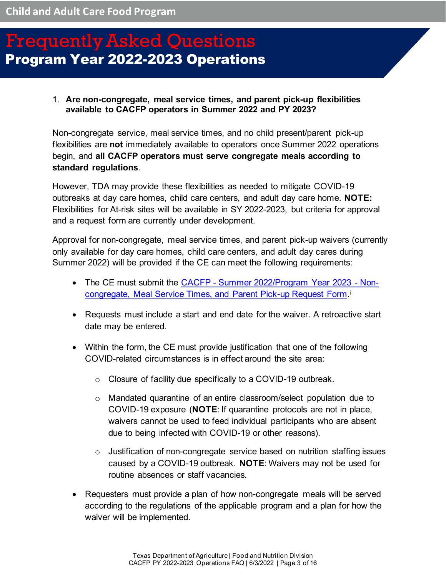#### <span id="page-2-0"></span>1. **Are non-congregate, meal service times, and parent pick-up flexibilities available to CACFP operators in Summer 2022 and PY 2023?**

Non-congregate service, meal service times, and no child present/parent pick-up flexibilities are **not** immediately available to operators once Summer 2022 operations begin, and **all CACFP operators must serve congregate meals according to standard regulations**.

However, TDA may provide these flexibilities as needed to mitigate COVID-19 outbreaks at day care homes, child care centers, and adult day care home. **NOTE:** Flexibilities for At-risk sites will be available in SY 2022-2023, but criteria for approval and a request form are currently under development.

Approval for non-congregate, meal service times, and parent pick-up waivers (currently only available for day care homes, child care centers, and adult day cares during Summer 2022) will be provided if the CE can meet the following requirements:

- The CE must submit the [CACFP Summer 2022/Program Year 2023 Non](https://app.smartsheet.com/b/publish?EQBCT=ee31a884bfb34987b84acc37cdecf4b2)[congregate, Meal Service Times, and Parent Pick-up Request](https://app.smartsheet.com/b/publish?EQBCT=ee31a884bfb34987b84acc37cdecf4b2) Form.[i](#page-15-0)
- Requests must include a start and end date for the waiver. A retroactive start date may be entered.
- Within the form, the CE must provide justification that one of the following COVID-related circumstances is in effect around the site area:
	- o Closure of facility due specifically to a COVID-19 outbreak.
	- $\circ$  Mandated quarantine of an entire classroom/select population due to COVID-19 exposure (**NOTE**: If quarantine protocols are not in place, waivers cannot be used to feed individual participants who are absent due to being infected with COVID-19 or other reasons).
	- o Justification of non-congregate service based on nutrition staffing issues caused by a COVID-19 outbreak. **NOTE**: Waivers may not be used for routine absences or staff vacancies.
- Requesters must provide a plan of how non-congregate meals will be served according to the regulations of the applicable program and a plan for how the waiver will be implemented.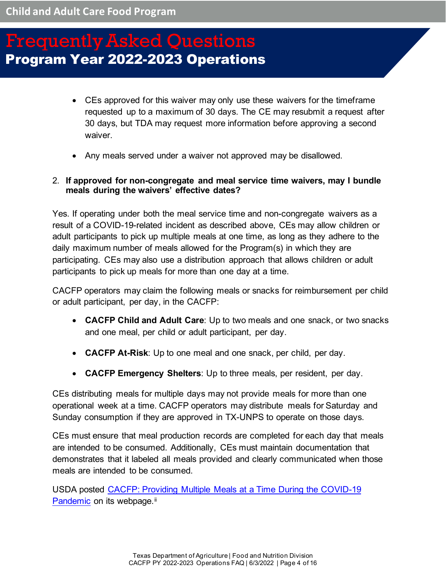- CEs approved for this waiver may only use these waivers for the timeframe requested up to a maximum of 30 days. The CE may resubmit a request after 30 days, but TDA may request more information before approving a second waiver.
- Any meals served under a waiver not approved may be disallowed.

#### <span id="page-3-0"></span>2. **If approved for non-congregate and meal service time waivers, may I bundle meals during the waivers' effective dates?**

Yes. If operating under both the meal service time and non-congregate waivers as a result of a COVID-19-related incident as described above, CEs may allow children or adult participants to pick up multiple meals at one time, as long as they adhere to the daily maximum number of meals allowed for the Program(s) in which they are participating. CEs may also use a distribution approach that allows children or adult participants to pick up meals for more than one day at a time.

CACFP operators may claim the following meals or snacks for reimbursement per child or adult participant, per day, in the CACFP:

- **CACFP Child and Adult Care**: Up to two meals and one snack, or two snacks and one meal, per child or adult participant, per day.
- **CACFP At-Risk**: Up to one meal and one snack, per child, per day.
- **CACFP Emergency Shelters**: Up to three meals, per resident, per day.

CEs distributing meals for multiple days may not provide meals for more than one operational week at a time. CACFP operators may distribute meals for Saturday and Sunday consumption if they are approved in TX-UNPS to operate on those days.

CEs must ensure that meal production records are completed for each day that meals are intended to be consumed. Additionally, CEs must maintain documentation that demonstrates that it labeled all meals provided and clearly communicated when those meals are intended to be consumed.

USDA posted [CACFP: Providing Multiple Meals at a Time During the COVID-19](https://www.fns.usda.gov/tn/providing-multiple-cacfp-meals-during-coronavirus)  [Pandemic](https://www.fns.usda.gov/tn/providing-multiple-cacfp-meals-during-coronavirus) on its webpage.<sup>[ii](#page-15-1)</sup>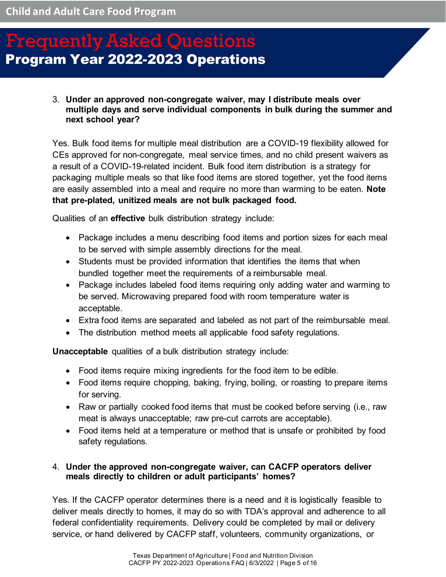#### <span id="page-4-0"></span>3. **Under an approved non-congregate waiver, may I distribute meals over multiple days and serve individual components in bulk during the summer and next school year?**

Yes. Bulk food items for multiple meal distribution are a COVID-19 flexibility allowed for CEs approved for non-congregate, meal service times, and no child present waivers as a result of a COVID-19-related incident. Bulk food item distribution is a strategy for packaging multiple meals so that like food items are stored together, yet the food items are easily assembled into a meal and require no more than warming to be eaten. **Note that pre-plated, unitized meals are not bulk packaged food.**

Qualities of an **effective** bulk distribution strategy include:

- Package includes a menu describing food items and portion sizes for each meal to be served with simple assembly directions for the meal.
- Students must be provided information that identifies the items that when bundled together meet the requirements of a reimbursable meal.
- Package includes labeled food items requiring only adding water and warming to be served. Microwaving prepared food with room temperature water is acceptable.
- Extra food items are separated and labeled as not part of the reimbursable meal.
- The distribution method meets all applicable food safety regulations.

**Unacceptable** qualities of a bulk distribution strategy include:

- Food items require mixing ingredients for the food item to be edible.
- Food items require chopping, baking, frying, boiling, or roasting to prepare items for serving.
- Raw or partially cooked food items that must be cooked before serving (i.e., raw meat is always unacceptable; raw pre-cut carrots are acceptable).
- Food items held at a temperature or method that is unsafe or prohibited by food safety regulations.

#### <span id="page-4-1"></span>4. **Under the approved non-congregate waiver, can CACFP operators deliver meals directly to children or adult participants' homes?**

Yes. If the CACFP operator determines there is a need and it is logistically feasible to deliver meals directly to homes, it may do so with TDA's approval and adherence to all federal confidentiality requirements. Delivery could be completed by mail or delivery service, or hand delivered by CACFP staff, volunteers, community organizations, or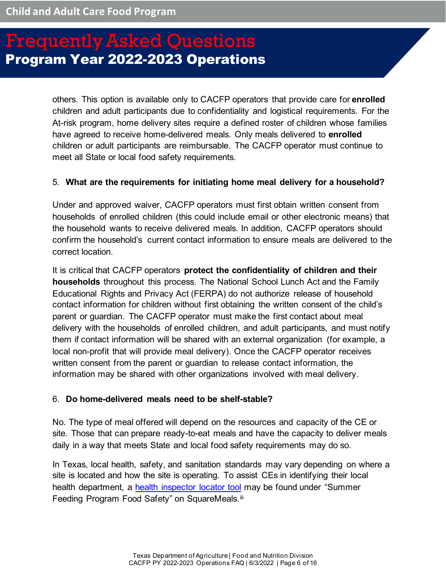others. This option is available only to CACFP operators that provide care for **enrolled** children and adult participants due to confidentiality and logistical requirements. For the At-risk program, home delivery sites require a defined roster of children whose families have agreed to receive home-delivered meals. Only meals delivered to **enrolled** children or adult participants are reimbursable. The CACFP operator must continue to meet all State or local food safety requirements.

#### <span id="page-5-0"></span>5. **What are the requirements for initiating home meal delivery for a household?**

Under and approved waiver, CACFP operators must first obtain written consent from households of enrolled children (this could include email or other electronic means) that the household wants to receive delivered meals. In addition, CACFP operators should confirm the household's current contact information to ensure meals are delivered to the correct location.

It is critical that CACFP operators **protect the confidentiality of children and their households** throughout this process. The National School Lunch Act and the Family Educational Rights and Privacy Act (FERPA) do not authorize release of household contact information for children without first obtaining the written consent of the child's parent or guardian. The CACFP operator must make the first contact about meal delivery with the households of enrolled children, and adult participants, and must notify them if contact information will be shared with an external organization (for example, a local non-profit that will provide meal delivery). Once the CACFP operator receives written consent from the parent or guardian to release contact information, the information may be shared with other organizations involved with meal delivery.

#### <span id="page-5-1"></span>6. **Do home-delivered meals need to be shelf-stable?**

No. The type of meal offered will depend on the resources and capacity of the CE or site. Those that can prepare ready-to-eat meals and have the capacity to deliver meals daily in a way that meets State and local food safety requirements may do so.

In Texas, local health, safety, and sanitation standards may vary depending on where a site is located and how the site is operating. To assist CEs in identifying their local health department, a [health inspector locator tool](http://squaremeals.org/Programs/SummerFeedingPrograms/SummerFeedingProgramFoodSafety.aspx) may be found under "Summer Feeding Program Food Safety" on SquareMeals.<sup>[iii](#page-15-2)</sup>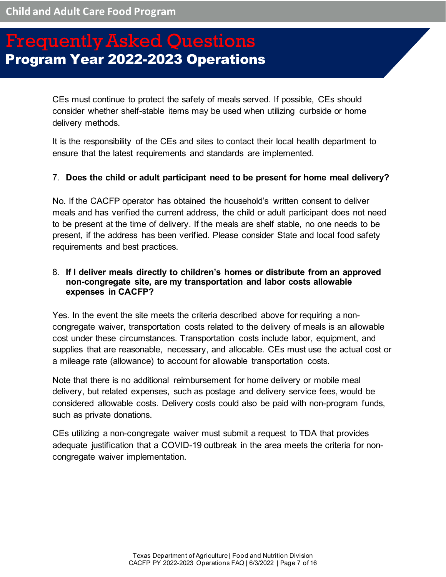CEs must continue to protect the safety of meals served. If possible, CEs should consider whether shelf-stable items may be used when utilizing curbside or home delivery methods.

It is the responsibility of the CEs and sites to contact their local health department to ensure that the latest requirements and standards are implemented.

### <span id="page-6-0"></span>7. **Does the child or adult participant need to be present for home meal delivery?**

No. If the CACFP operator has obtained the household's written consent to deliver meals and has verified the current address, the child or adult participant does not need to be present at the time of delivery. If the meals are shelf stable, no one needs to be present, if the address has been verified. Please consider State and local food safety requirements and best practices.

### <span id="page-6-1"></span>8. **If I deliver meals directly to children's homes or distribute from an approved non-congregate site, are my transportation and labor costs allowable expenses in CACFP?**

Yes. In the event the site meets the criteria described above for requiring a noncongregate waiver, transportation costs related to the delivery of meals is an allowable cost under these circumstances. Transportation costs include labor, equipment, and supplies that are reasonable, necessary, and allocable. CEs must use the actual cost or a mileage rate (allowance) to account for allowable transportation costs.

Note that there is no additional reimbursement for home delivery or mobile meal delivery, but related expenses, such as postage and delivery service fees, would be considered allowable costs. Delivery costs could also be paid with non-program funds, such as private donations.

<span id="page-6-2"></span>CEs utilizing a non-congregate waiver must submit a request to TDA that provides adequate justification that a COVID-19 outbreak in the area meets the criteria for noncongregate waiver implementation.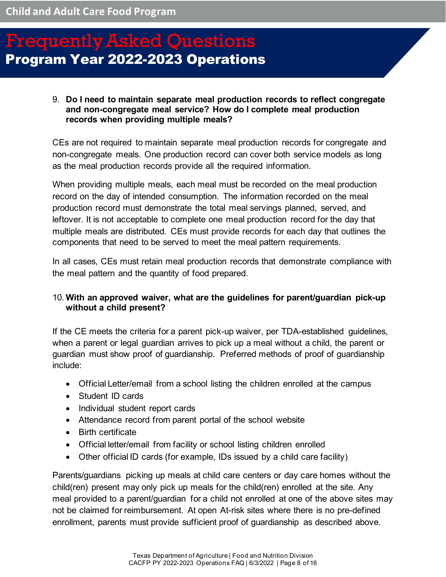#### 9. **Do I need to maintain separate meal production records to reflect congregate and non-congregate meal service? How do I complete meal production records when providing multiple meals?**

CEs are not required to maintain separate meal production records for congregate and non-congregate meals. One production record can cover both service models as long as the meal production records provide all the required information.

When providing multiple meals, each meal must be recorded on the meal production record on the day of intended consumption. The information recorded on the meal production record must demonstrate the total meal servings planned, served, and leftover. It is not acceptable to complete one meal production record for the day that multiple meals are distributed. CEs must provide records for each day that outlines the components that need to be served to meet the meal pattern requirements.

In all cases, CEs must retain meal production records that demonstrate compliance with the meal pattern and the quantity of food prepared.

### <span id="page-7-0"></span>10. **With an approved waiver, what are the guidelines for parent/guardian pick-up without a child present?**

If the CE meets the criteria for a parent pick-up waiver, per TDA-established guidelines, when a parent or legal guardian arrives to pick up a meal without a child, the parent or guardian must show proof of guardianship. Preferred methods of proof of guardianship include:

- Official Letter/email from a school listing the children enrolled at the campus
- Student ID cards
- Individual student report cards
- Attendance record from parent portal of the school website
- Birth certificate
- Official letter/email from facility or school listing children enrolled
- Other official ID cards (for example, IDs issued by a child care facility)

Parents/guardians picking up meals at child care centers or day care homes without the child(ren) present may only pick up meals for the child(ren) enrolled at the site. Any meal provided to a parent/guardian for a child not enrolled at one of the above sites may not be claimed for reimbursement. At open At-risk sites where there is no pre-defined enrollment, parents must provide sufficient proof of guardianship as described above.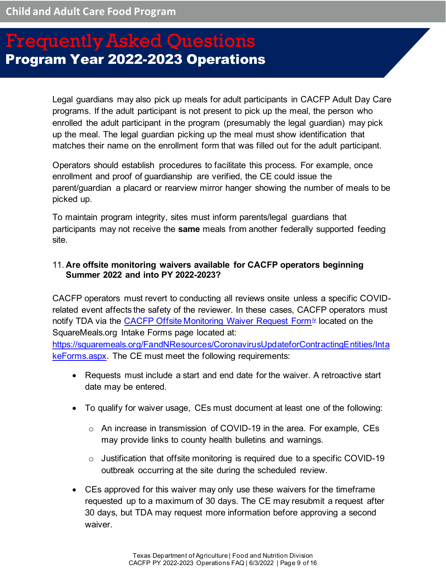Legal guardians may also pick up meals for adult participants in CACFP Adult Day Care programs. If the adult participant is not present to pick up the meal, the person who enrolled the adult participant in the program (presumably the legal guardian) may pick up the meal. The legal guardian picking up the meal must show identification that matches their name on the enrollment form that was filled out for the adult participant.

Operators should establish procedures to facilitate this process. For example, once enrollment and proof of guardianship are verified, the CE could issue the parent/guardian a placard or rearview mirror hanger showing the number of meals to be picked up.

To maintain program integrity, sites must inform parents/legal guardians that participants may not receive the **same** meals from another federally supported feeding site.

#### <span id="page-8-0"></span>11. **Are offsite monitoring waivers available for CACFP operators beginning Summer 2022 and into PY 2022-2023?**

CACFP operators must revert to conducting all reviews onsite unless a specific COVIDrelated event affects the safety of the reviewer. In these cases, CACFP operators must notify TDA via the CACFP [Offsite Monitoring Waiver Request Form](https://app.smartsheet.com/b/publish?EQBCT=f31afa9dc39449bd8d451cca538d39e7)<sup>ix</sup> located on the SquareMeals.org Intake Forms page located at:

[https://squaremeals.org/FandNResources/CoronavirusUpdateforContractingEntities/Inta](https://squaremeals.org/FandNResources/CoronavirusUpdateforContractingEntities/IntakeForms.aspx) [keForms.aspx.](https://squaremeals.org/FandNResources/CoronavirusUpdateforContractingEntities/IntakeForms.aspx) The CE must meet the following requirements:

- Requests must include a start and end date for the waiver. A retroactive start date may be entered.
- To qualify for waiver usage, CEs must document at least one of the following:
	- o An increase in transmission of COVID-19 in the area. For example, CEs may provide links to county health bulletins and warnings.
	- $\circ$  Justification that offsite monitoring is required due to a specific COVID-19 outbreak occurring at the site during the scheduled review.
- CEs approved for this waiver may only use these waivers for the timeframe requested up to a maximum of 30 days. The CE may resubmit a request after 30 days, but TDA may request more information before approving a second waiver.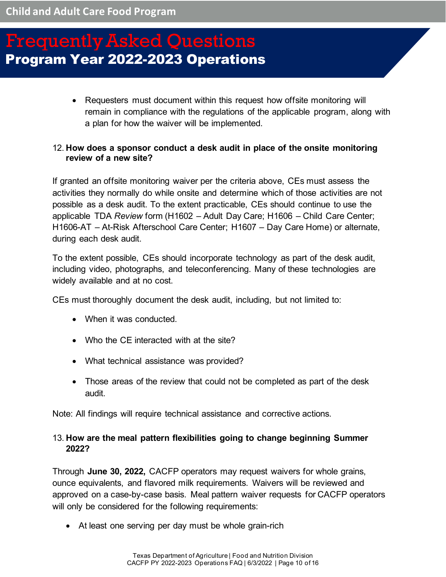• Requesters must document within this request how offsite monitoring will remain in compliance with the regulations of the applicable program, along with a plan for how the waiver will be implemented.

#### <span id="page-9-0"></span>12. **How does a sponsor conduct a desk audit in place of the onsite monitoring review of a new site?**

If granted an offsite monitoring waiver per the criteria above, CEs must assess the activities they normally do while onsite and determine which of those activities are not possible as a desk audit. To the extent practicable, CEs should continue to use the applicable TDA *Review* form (H1602 – Adult Day Care; H1606 – Child Care Center; H1606-AT – At-Risk Afterschool Care Center; H1607 – Day Care Home) or alternate, during each desk audit.

To the extent possible, CEs should incorporate technology as part of the desk audit, including video, photographs, and teleconferencing. Many of these technologies are widely available and at no cost.

CEs must thoroughly document the desk audit, including, but not limited to:

- When it was conducted.
- Who the CE interacted with at the site?
- What technical assistance was provided?
- Those areas of the review that could not be completed as part of the desk audit.

Note: All findings will require technical assistance and corrective actions.

### <span id="page-9-1"></span>13. **How are the meal pattern flexibilities going to change beginning Summer 2022?**

Through **June 30, 2022,** CACFP operators may request waivers for whole grains, ounce equivalents, and flavored milk requirements. Waivers will be reviewed and approved on a case-by-case basis. Meal pattern waiver requests for CACFP operators will only be considered for the following requirements:

• At least one serving per day must be whole grain-rich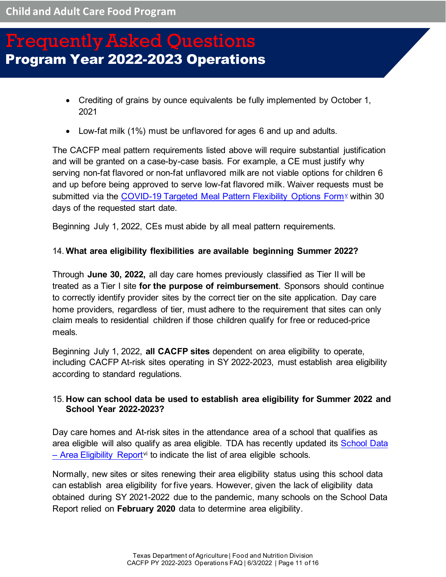- Crediting of grains by ounce equivalents be fully implemented by October 1, 2021
- Low-fat milk (1%) must be unflavored for ages 6 and up and adults.

The CACFP meal pattern requirements listed above will require substantial justification and will be granted on a case-by-case basis. For example, a CE must justify why serving non-fat flavored or non-fat unflavored milk are not viable options for children 6 and up before being approved to serve low-fat flavored milk. Waiver requests must be submitted via the [COVID-19 Targeted Meal Pattern Flexibility Options Form](https://form.jotform.com/211664018015143)<sup>1</sup> within 30 days of the requested start date.

Beginning July 1, 2022, CEs must abide by all meal pattern requirements.

#### <span id="page-10-0"></span>14. **What area eligibility flexibilities are available beginning Summer 2022?**

Through **June 30, 2022,** all day care homes previously classified as Tier II will be treated as a Tier I site **for the purpose of reimbursement**. Sponsors should continue to correctly identify provider sites by the correct tier on the site application. Day care home providers, regardless of tier, must adhere to the requirement that sites can only claim meals to residential children if those children qualify for free or reduced-price meals.

Beginning July 1, 2022, **all CACFP sites** dependent on area eligibility to operate, including CACFP At-risk sites operating in SY 2022-2023, must establish area eligibility according to standard regulations.

### <span id="page-10-1"></span>15. **How can school data be used to establish area eligibility for Summer 2022 and School Year 2022-2023?**

Day care homes and At-risk sites in the attendance area of a school that qualifies as area eligible will also qualify as area eligible. TDA has recently updated its School Data  $-$  Area Eligibility Report<sup>[vi](#page-15-5)</sup> to indicate the list of area eligible schools.

Normally, new sites or sites renewing their area eligibility status using this school data can establish area eligibility for five years. However, given the lack of eligibility data obtained during SY 2021-2022 due to the pandemic, many schools on the School Data Report relied on **February 2020** data to determine area eligibility.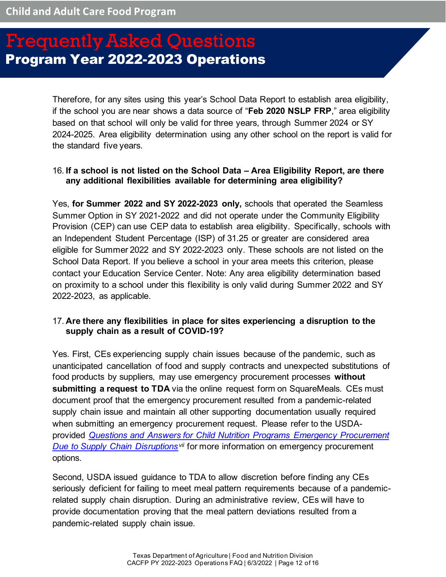Therefore, for any sites using this year's School Data Report to establish area eligibility, if the school you are near shows a data source of "**Feb 2020 NSLP FRP**," area eligibility based on that school will only be valid for three years, through Summer 2024 or SY 2024-2025. Area eligibility determination using any other school on the report is valid for the standard five years.

### <span id="page-11-0"></span>16. **If a school is not listed on the School Data – Area Eligibility Report, are there any additional flexibilities available for determining area eligibility?**

Yes, **for Summer 2022 and SY 2022-2023 only,** schools that operated the Seamless Summer Option in SY 2021-2022 and did not operate under the Community Eligibility Provision (CEP) can use CEP data to establish area eligibility. Specifically, schools with an Independent Student Percentage (ISP) of 31.25 or greater are considered area eligible for Summer 2022 and SY 2022-2023 only. These schools are not listed on the School Data Report. If you believe a school in your area meets this criterion, please contact your Education Service Center. Note: Any area eligibility determination based on proximity to a school under this flexibility is only valid during Summer 2022 and SY 2022-2023, as applicable.

### <span id="page-11-1"></span>17. **Are there any flexibilities in place for sites experiencing a disruption to the supply chain as a result of COVID-19?**

Yes. First, CEs experiencing supply chain issues because of the pandemic, such as unanticipated cancellation of food and supply contracts and unexpected substitutions of food products by suppliers, may use emergency procurement processes **without submitting a request to TDA** via the online request form on SquareMeals. CEs must document proof that the emergency procurement resulted from a pandemic-related supply chain issue and maintain all other supporting documentation usually required when submitting an emergency procurement request. Please refer to the USDAprovided *[Questions and Answers for Child Nutrition Programs Emergency Procurement](https://www.fns.usda.gov/cn/sp23-cacfp18-2021)  [Due to Supply Chain Disruptions](https://www.fns.usda.gov/cn/sp23-cacfp18-2021)[vii](#page-15-6)* for more information on emergency procurement options.

Second, USDA issued guidance to TDA to allow discretion before finding any CEs seriously deficient for failing to meet meal pattern requirements because of a pandemicrelated supply chain disruption. During an administrative review, CEs will have to provide documentation proving that the meal pattern deviations resulted from a pandemic-related supply chain issue.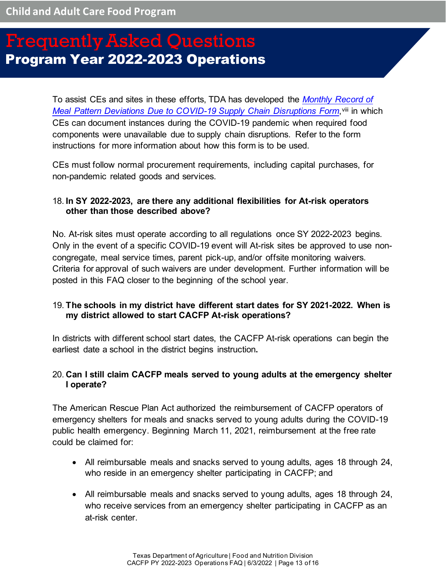To assist CEs and sites in these efforts, TDA has developed the *[Monthly Record of](https://squaremeals.org/Portals/8/FND%20Forms/Program%20Forms/Documentation_of_Supply_Chain_Disruption_211116.doc)  [Meal Pattern Deviations Due to COVID-19 Supply Chain Disruptions Form](https://squaremeals.org/Portals/8/FND%20Forms/Program%20Forms/Documentation_of_Supply_Chain_Disruption_211116.doc), vill in which* CEs can document instances during the COVID-19 pandemic when required food components were unavailable due to supply chain disruptions. Refer to the form instructions for more information about how this form is to be used.

CEs must follow normal procurement requirements, including capital purchases, for non-pandemic related goods and services.

### <span id="page-12-0"></span>18. **In SY 2022-2023, are there any additional flexibilities for At-risk operators other than those described above?**

No. At-risk sites must operate according to all regulations once SY 2022-2023 begins. Only in the event of a specific COVID-19 event will At-risk sites be approved to use noncongregate, meal service times, parent pick-up, and/or offsite monitoring waivers. Criteria for approval of such waivers are under development. Further information will be posted in this FAQ closer to the beginning of the school year.

### <span id="page-12-1"></span>19. **The schools in my district have different start dates for SY 2021-2022. When is my district allowed to start CACFP At-risk operations?**

In districts with different school start dates, the CACFP At-risk operations can begin the earliest date a school in the district begins instruction**.** 

### <span id="page-12-2"></span>20. **Can I still claim CACFP meals served to young adults at the emergency shelter I operate?**

The American Rescue Plan Act authorized the reimbursement of CACFP operators of emergency shelters for meals and snacks served to young adults during the COVID-19 public health emergency. Beginning March 11, 2021, reimbursement at the free rate could be claimed for:

- All reimbursable meals and snacks served to young adults, ages 18 through 24, who reside in an emergency shelter participating in CACFP; and
- All reimbursable meals and snacks served to young adults, ages 18 through 24, who receive services from an emergency shelter participating in CACFP as an at-risk center.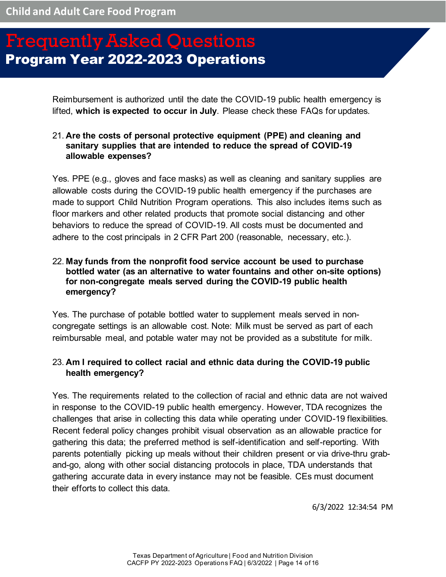Reimbursement is authorized until the date the COVID-19 public health emergency is lifted, **which is expected to occur in July**. Please check these FAQs for updates.

### <span id="page-13-0"></span>21. **Are the costs of personal protective equipment (PPE) and cleaning and sanitary supplies that are intended to reduce the spread of COVID-19 allowable expenses?**

Yes. PPE (e.g., gloves and face masks) as well as cleaning and sanitary supplies are allowable costs during the COVID-19 public health emergency if the purchases are made to support Child Nutrition Program operations. This also includes items such as floor markers and other related products that promote social distancing and other behaviors to reduce the spread of COVID-19. All costs must be documented and adhere to the cost principals in 2 CFR Part 200 (reasonable, necessary, etc.).

### <span id="page-13-1"></span>22. **May funds from the nonprofit food service account be used to purchase bottled water (as an alternative to water fountains and other on-site options) for non-congregate meals served during the COVID-19 public health emergency?**

Yes. The purchase of potable bottled water to supplement meals served in noncongregate settings is an allowable cost. Note: Milk must be served as part of each reimbursable meal, and potable water may not be provided as a substitute for milk.

### <span id="page-13-2"></span>23. **Am I required to collect racial and ethnic data during the COVID-19 public health emergency?**

Yes. The requirements related to the collection of racial and ethnic data are not waived in response to the COVID-19 public health emergency. However, TDA recognizes the challenges that arise in collecting this data while operating under COVID-19 flexibilities. Recent federal policy changes prohibit visual observation as an allowable practice for gathering this data; the preferred method is self-identification and self-reporting. With parents potentially picking up meals without their children present or via drive-thru graband-go, along with other social distancing protocols in place, TDA understands that gathering accurate data in every instance may not be feasible. CEs must document their efforts to collect this data.

6/3/2022 12:34:54 PM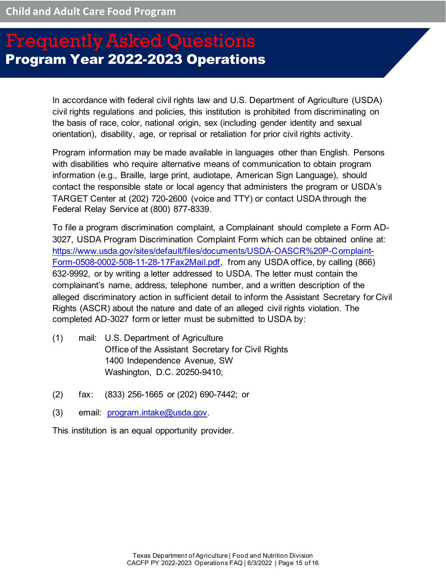In accordance with federal civil rights law and U.S. Department of Agriculture (USDA) civil rights regulations and policies, this institution is prohibited from discriminating on the basis of race, color, national origin, sex (including gender identity and sexual orientation), disability, age, or reprisal or retaliation for prior civil rights activity.

Program information may be made available in languages other than English. Persons with disabilities who require alternative means of communication to obtain program information (e.g., Braille, large print, audiotape, American Sign Language), should contact the responsible state or local agency that administers the program or USDA's TARGET Center at (202) 720-2600 (voice and TTY) or contact USDA through the Federal Relay Service at (800) 877-8339.

To file a program discrimination complaint, a Complainant should complete a Form AD-3027, USDA Program Discrimination Complaint Form which can be obtained online at: [https://www.usda.gov/sites/default/files/documents/USDA-OASCR%20P-Complaint-](https://www.usda.gov/sites/default/files/documents/USDA-OASCR%20P-Complaint-Form-0508-0002-508-11-28-17Fax2Mail.pdf)[Form-0508-0002-508-11-28-17Fax2Mail.pdf,](https://www.usda.gov/sites/default/files/documents/USDA-OASCR%20P-Complaint-Form-0508-0002-508-11-28-17Fax2Mail.pdf) from any USDA office, by calling (866) 632-9992, or by writing a letter addressed to USDA. The letter must contain the complainant's name, address, telephone number, and a written description of the alleged discriminatory action in sufficient detail to inform the Assistant Secretary for Civil Rights (ASCR) about the nature and date of an alleged civil rights violation. The completed AD-3027 form or letter must be submitted to USDA by:

- (1) mail: U.S. Department of Agriculture Office of the Assistant Secretary for Civil Rights 1400 Independence Avenue, SW Washington, D.C. 20250-9410;
- (2) fax: (833) 256-1665 or (202) 690-7442; or
- (3) email: [program.intake@usda.gov.](mailto:program.intake@usda.gov)

This institution is an equal opportunity provider.